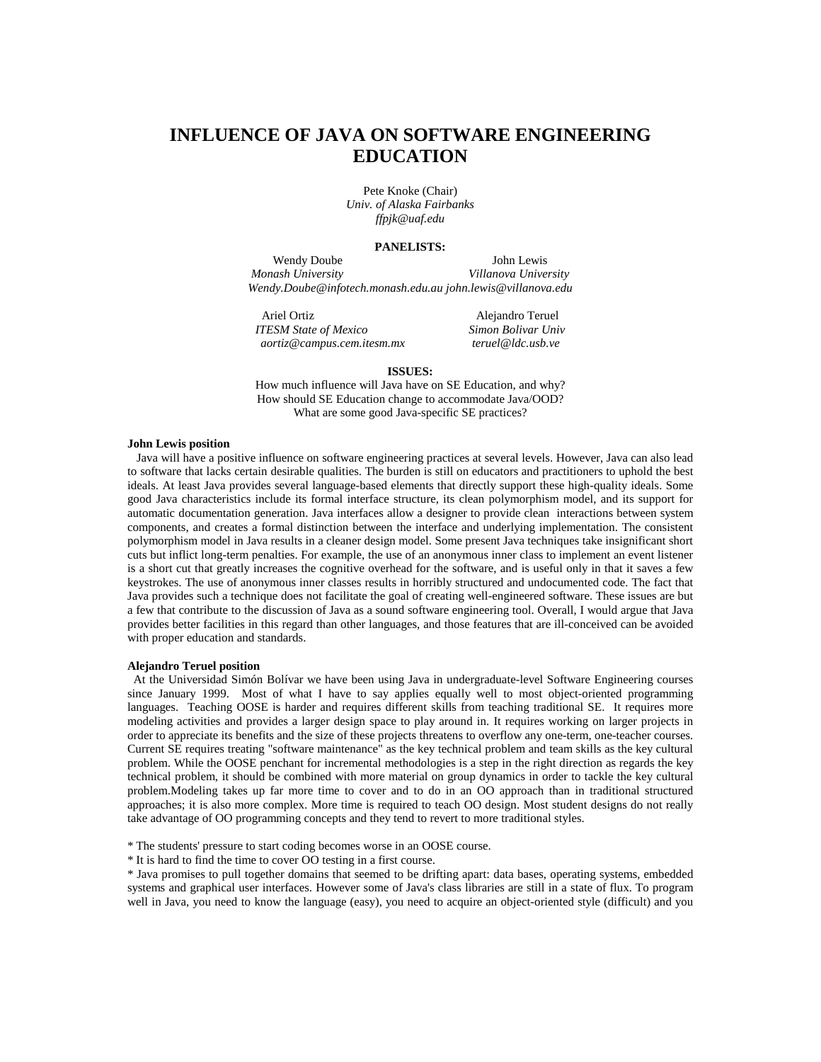# **INFLUENCE OF JAVA ON SOFTWARE ENGINEERING EDUCATION**

Pete Knoke (Chair) *Univ. of Alaska Fairbanks ffpjk@uaf.edu* 

### **PANELISTS:**

Wendy Doube John Lewis *Monash University Villanova University Wendy.Doube@infotech.monash.edu.au john.lewis@villanova.edu* 

Ariel Ortiz Alejandro Teruel *ITESM State of Mexico Simon Bolivar Univ aortiz@campus.cem.itesm.mx teruel@ldc.usb.ve* 

#### **ISSUES:**

How much influence will Java have on SE Education, and why? How should SE Education change to accommodate Java/OOD? What are some good Java-specific SE practices?

#### **John Lewis position**

 Java will have a positive influence on software engineering practices at several levels. However, Java can also lead to software that lacks certain desirable qualities. The burden is still on educators and practitioners to uphold the best ideals. At least Java provides several language-based elements that directly support these high-quality ideals. Some good Java characteristics include its formal interface structure, its clean polymorphism model, and its support for automatic documentation generation. Java interfaces allow a designer to provide clean interactions between system components, and creates a formal distinction between the interface and underlying implementation. The consistent polymorphism model in Java results in a cleaner design model. Some present Java techniques take insignificant short cuts but inflict long-term penalties. For example, the use of an anonymous inner class to implement an event listener is a short cut that greatly increases the cognitive overhead for the software, and is useful only in that it saves a few keystrokes. The use of anonymous inner classes results in horribly structured and undocumented code. The fact that Java provides such a technique does not facilitate the goal of creating well-engineered software. These issues are but a few that contribute to the discussion of Java as a sound software engineering tool. Overall, I would argue that Java provides better facilities in this regard than other languages, and those features that are ill-conceived can be avoided with proper education and standards.

## **Alejandro Teruel position**

 At the Universidad Simón Bolívar we have been using Java in undergraduate-level Software Engineering courses since January 1999. Most of what I have to say applies equally well to most object-oriented programming languages. Teaching OOSE is harder and requires different skills from teaching traditional SE. It requires more modeling activities and provides a larger design space to play around in. It requires working on larger projects in order to appreciate its benefits and the size of these projects threatens to overflow any one-term, one-teacher courses. Current SE requires treating "software maintenance" as the key technical problem and team skills as the key cultural problem. While the OOSE penchant for incremental methodologies is a step in the right direction as regards the key technical problem, it should be combined with more material on group dynamics in order to tackle the key cultural problem.Modeling takes up far more time to cover and to do in an OO approach than in traditional structured approaches; it is also more complex. More time is required to teach OO design. Most student designs do not really take advantage of OO programming concepts and they tend to revert to more traditional styles.

- \* The students' pressure to start coding becomes worse in an OOSE course.
- \* It is hard to find the time to cover OO testing in a first course.

\* Java promises to pull together domains that seemed to be drifting apart: data bases, operating systems, embedded systems and graphical user interfaces. However some of Java's class libraries are still in a state of flux. To program well in Java, you need to know the language (easy), you need to acquire an object-oriented style (difficult) and you